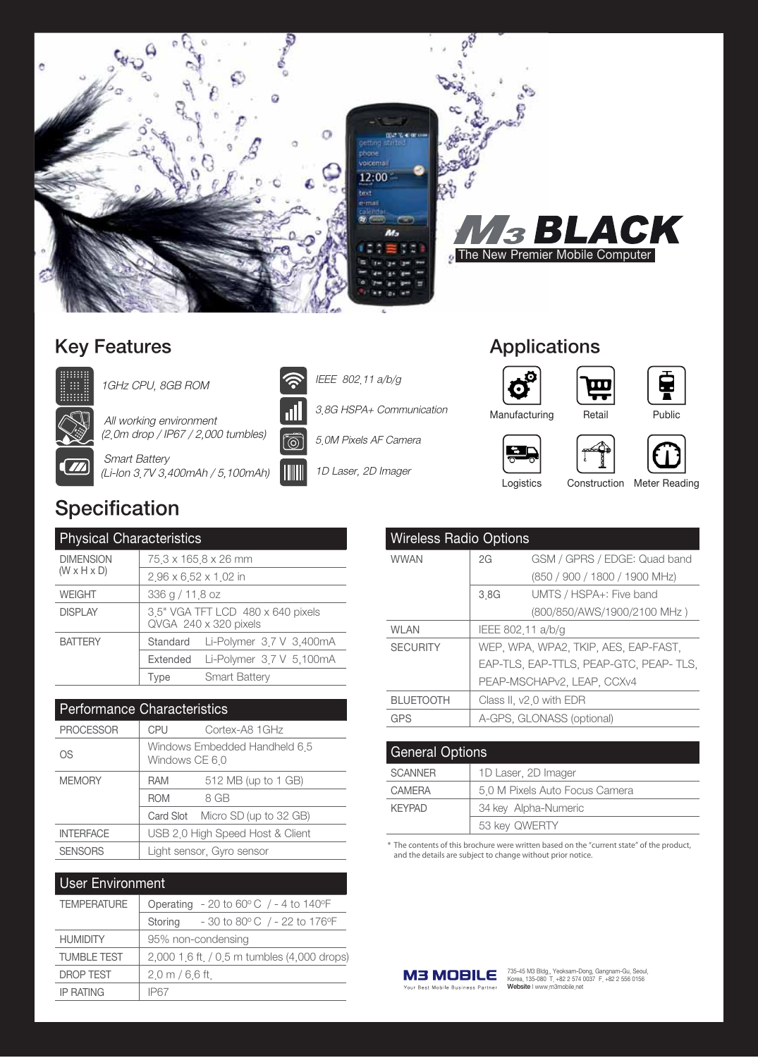

### **Key Features**



1GHz CPU, 8GB ROM

All working environment



(2.0m drop / IP67 / 2,000 tumbles) **Smart Battery** (Li-Ion 3.7V 3,400mAh / 5,100mAh)



3.8G HSPA+ Communication

IEEE 802.11 a/b/g

1D Laser, 2D Imager

## **Applications**





Manufacturing





Logistics

Construction Meter Reading

띺

Retail

# Specification

| <b>Physical Characteristics</b>             |                                                            |                          |  |  |
|---------------------------------------------|------------------------------------------------------------|--------------------------|--|--|
| <b>DIMENSION</b><br>$(W \times H \times D)$ | 75.3 x 165.8 x 26 mm                                       |                          |  |  |
|                                             | 2.96 x 6.52 x 1.02 in                                      |                          |  |  |
| <b>WEIGHT</b>                               | 336 g / 11.8 oz                                            |                          |  |  |
| <b>DISPLAY</b>                              | 3.5" VGA TFT LCD 480 x 640 pixels<br>QVGA 240 x 320 pixels |                          |  |  |
| <b>BATTERY</b>                              | Standard                                                   | Li-Polymer 3.7 V 3.400mA |  |  |
|                                             | Extended                                                   | Li-Polymer 3.7 V 5,100mA |  |  |
|                                             | Type                                                       | <b>Smart Battery</b>     |  |  |

| <b>Performance Characteristics</b> |                                                 |                                  |  |  |
|------------------------------------|-------------------------------------------------|----------------------------------|--|--|
| <b>PROCESSOR</b>                   | <b>CPU</b>                                      | Cortex-A8 1GHz                   |  |  |
| <b>OS</b>                          | Windows Embedded Handheld 6.5<br>Windows CE 6.0 |                                  |  |  |
| <b>MEMORY</b>                      | <b>RAM</b>                                      | 512 MB (up to 1 GB)              |  |  |
|                                    | <b>ROM</b>                                      | 8 GB                             |  |  |
|                                    |                                                 | Card Slot Micro SD (up to 32 GB) |  |  |
| <b>INTERFACE</b>                   |                                                 | USB 2.0 High Speed Host & Client |  |  |
| <b>SENSORS</b>                     |                                                 | Light sensor, Gyro sensor        |  |  |

#### **User Environment**

| <b>TEMPERATURE</b> | Operating - 20 to 60 $\degree$ C / - 4 to 140 $\degree$ F      |
|--------------------|----------------------------------------------------------------|
|                    | $-30$ to 80 $^{\circ}$ C / - 22 to 176 $^{\circ}$ F<br>Storing |
| <b>HUMIDITY</b>    | 95% non-condensing                                             |
| <b>TUMBLE TEST</b> | 2,000 1.6 ft. / 0.5 m tumbles (4,000 drops)                    |
| <b>DROP TEST</b>   | $2.0 \text{ m} / 6.6 \text{ ft}$                               |
| <b>IP RATING</b>   | IP <sub>67</sub>                                               |

| <b>Wireless Radio Options</b> |                                        |                               |  |  |
|-------------------------------|----------------------------------------|-------------------------------|--|--|
| <b>WWAN</b>                   | 2G                                     | GSM / GPRS / EDGE: Quad band  |  |  |
|                               |                                        | (850 / 900 / 1800 / 1900 MHz) |  |  |
|                               | 3.8G                                   | UMTS / HSPA+: Five band       |  |  |
|                               |                                        | (800/850/AWS/1900/2100 MHz)   |  |  |
| WI AN                         | IEEE 802.11 a/b/g                      |                               |  |  |
| <b>SECURITY</b>               | WEP, WPA, WPA2, TKIP, AES, EAP-FAST,   |                               |  |  |
|                               | EAP-TLS, EAP-TTLS, PEAP-GTC, PEAP-TLS, |                               |  |  |
|                               |                                        | PEAP-MSCHAPv2, LEAP, CCXv4    |  |  |
| <b>BLUETOOTH</b>              |                                        | Class II, v2.0 with EDR       |  |  |
| GPS                           |                                        | A-GPS, GLONASS (optional)     |  |  |

| <b>General Options</b> |                                |  |
|------------------------|--------------------------------|--|
| <b>SCANNER</b>         | 1D Laser, 2D Imager            |  |
| <b>CAMERA</b>          | 5.0 M Pixels Auto Focus Camera |  |
| <b>KFYPAD</b>          | 34 key Alpha-Numeric           |  |
|                        | 53 key QWERTY                  |  |

\* The contents of this brochure were written based on the "current state" of the product, and the details are subject to change without prior notice.